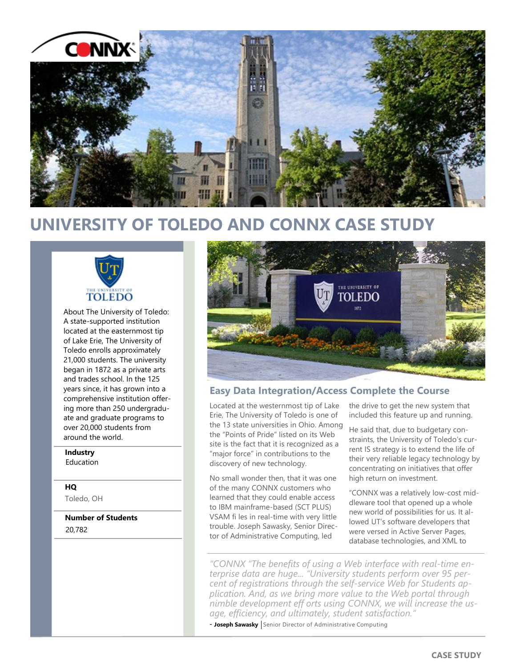

# **UNIVERSITY OF TOLEDO AND CONNX CASE STUDY**



About The University of Toledo: A state-supported institution located at the easternmost tip of Lake Erie, The University of Toledo enrolls approximately 21,000 students. The university began in 1872 as a private arts and trades school. In the 125 years since, it has grown into a comprehensive institution offering more than 250 undergraduate and graduate programs to over 20,000 students from around the world.

## **Industry**

Education

## **HQ**

Toledo, OH

**Number of Students** 20,782



## **Easy Data Integration/Access Complete the Course**

Located at the westernmost tip of Lake Erie, The University of Toledo is one of the 13 state universities in Ohio. Among the "Points of Pride" listed on its Web site is the fact that it is recognized as a "major force" in contributions to the discovery of new technology.

No small wonder then, that it was one of the many CONNX customers who learned that they could enable access to IBM mainframe-based (SCT PLUS) VSAM fi les in real-time with very little trouble. Joseph Sawasky, Senior Director of Administrative Computing, led

the drive to get the new system that included this feature up and running.

He said that, due to budgetary constraints, the University of Toledo's current IS strategy is to extend the life of their very reliable legacy technology by concentrating on initiatives that offer high return on investment.

"CONNX was a relatively low-cost middleware tool that opened up a whole new world of possibilities for us. It allowed UT's software developers that were versed in Active Server Pages, database technologies, and XML to

*"CONNX "The benefits of using a Web interface with real-time enterprise data are huge... "University students perform over 95 percent of registrations through the self-service Web for Students application. And, as we bring more value to the Web portal through nimble development eff orts using CONNX, we will increase the usage, efficiency, and ultimately, student satisfaction."* 

- Joseph Sawasky Senior Director of Administrative Computing